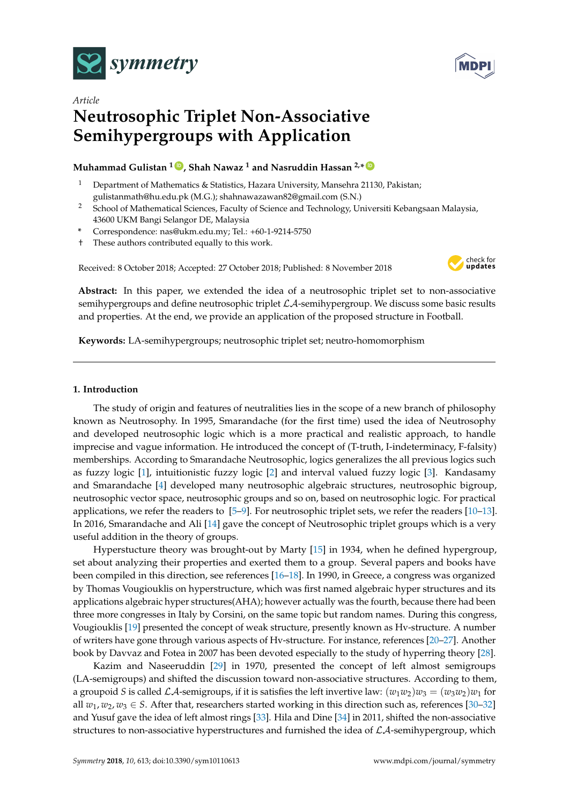



# *Article* **Neutrosophic Triplet Non-Associative Semihypergroups with Application**

# $\blacksquare$  Muhammad Gulistan  $1\blacksquare$  , Shah Nawaz  $1$  and Nasruddin Hassan  $2.*\blacksquare$

- <sup>1</sup> Department of Mathematics & Statistics, Hazara University, Mansehra 21130, Pakistan; gulistanmath@hu.edu.pk (M.G.); shahnawazawan82@gmail.com (S.N.)
- <sup>2</sup> School of Mathematical Sciences, Faculty of Science and Technology, Universiti Kebangsaan Malaysia, 43600 UKM Bangi Selangor DE, Malaysia
- **\*** Correspondence: nas@ukm.edu.my; Tel.: +60-1-9214-5750
- † These authors contributed equally to this work.

Received: 8 October 2018; Accepted: 27 October 2018; Published: 8 November 2018



**Abstract:** In this paper, we extended the idea of a neutrosophic triplet set to non-associative semihypergroups and define neutrosophic triplet  $\mathcal{LA}$ -semihypergroup. We discuss some basic results and properties. At the end, we provide an application of the proposed structure in Football.

**Keywords:** LA-semihypergroups; neutrosophic triplet set; neutro-homomorphism

## **1. Introduction**

The study of origin and features of neutralities lies in the scope of a new branch of philosophy known as Neutrosophy. In 1995, Smarandache (for the first time) used the idea of Neutrosophy and developed neutrosophic logic which is a more practical and realistic approach, to handle imprecise and vague information. He introduced the concept of (T-truth, I-indeterminacy, F-falsity) memberships. According to Smarandache Neutrosophic, logics generalizes the all previous logics such as fuzzy logic [\[1\]](#page-10-0), intuitionistic fuzzy logic [\[2\]](#page-10-1) and interval valued fuzzy logic [\[3\]](#page-10-2). Kandasamy and Smarandache [\[4\]](#page-10-3) developed many neutrosophic algebraic structures, neutrosophic bigroup, neutrosophic vector space, neutrosophic groups and so on, based on neutrosophic logic. For practical applications, we refer the readers to [\[5–](#page-10-4)[9\]](#page-10-5). For neutrosophic triplet sets, we refer the readers [\[10–](#page-10-6)[13\]](#page-10-7). In 2016, Smarandache and Ali [\[14\]](#page-10-8) gave the concept of Neutrosophic triplet groups which is a very useful addition in the theory of groups.

Hyperstucture theory was brought-out by Marty [\[15\]](#page-10-9) in 1934, when he defined hypergroup, set about analyzing their properties and exerted them to a group. Several papers and books have been compiled in this direction, see references [\[16](#page-10-10)[–18\]](#page-10-11). In 1990, in Greece, a congress was organized by Thomas Vougiouklis on hyperstructure, which was first named algebraic hyper structures and its applications algebraic hyper structures(AHA); however actually was the fourth, because there had been three more congresses in Italy by Corsini, on the same topic but random names. During this congress, Vougiouklis [\[19\]](#page-10-12) presented the concept of weak structure, presently known as Hv-structure. A number of writers have gone through various aspects of Hv-structure. For instance, references [\[20](#page-10-13)[–27\]](#page-11-0). Another book by Davvaz and Fotea in 2007 has been devoted especially to the study of hyperring theory [\[28\]](#page-11-1).

Kazim and Naseeruddin [\[29\]](#page-11-2) in 1970, presented the concept of left almost semigroups (LA-semigroups) and shifted the discussion toward non-associative structures. According to them, a groupoid *S* is called LA-semigroups, if it is satisfies the left invertive law:  $(w_1w_2)w_3 = (w_3w_2)w_1$  for all  $w_1, w_2, w_3 \in S$ . After that, researchers started working in this direction such as, references [\[30](#page-11-3)[–32\]](#page-11-4) and Yusuf gave the idea of left almost rings [\[33\]](#page-11-5). Hila and Dine [\[34\]](#page-11-6) in 2011, shifted the non-associative structures to non-associative hyperstructures and furnished the idea of  $\mathcal{LA}$ -semihypergroup, which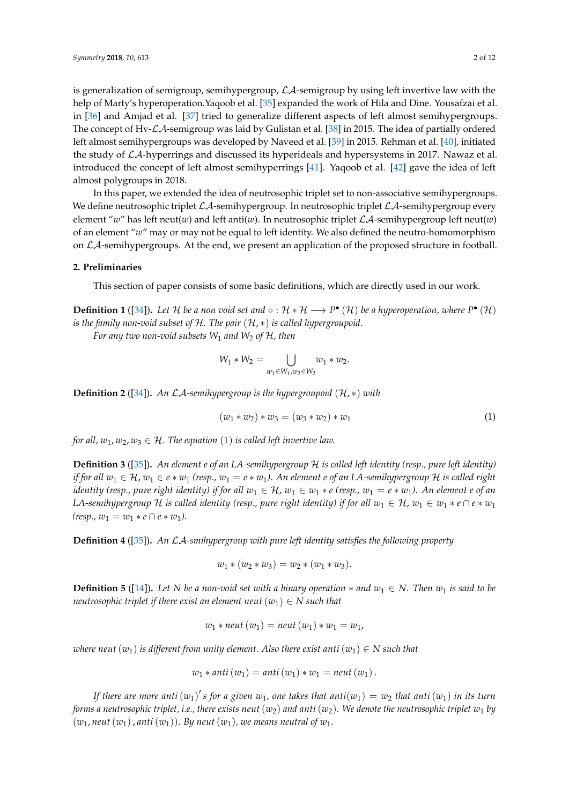is generalization of semigroup, semihypergroup,  $\mathcal{L}A$ -semigroup by using left invertive law with the help of Marty's hyperoperation.Yaqoob et al. [\[35\]](#page-11-7) expanded the work of Hila and Dine. Yousafzai et al. in [\[36\]](#page-11-8) and Amjad et al. [\[37\]](#page-11-9) tried to generalize different aspects of left almost semihypergroups. The concept of Hv-LA-semigroup was laid by Gulistan et al. [\[38\]](#page-11-10) in 2015. The idea of partially ordered left almost semihypergroups was developed by Naveed et al. [\[39\]](#page-11-11) in 2015. Rehman et al. [\[40\]](#page-11-12), initiated the study of  $\mathcal{LA}$ -hyperrings and discussed its hyperideals and hypersystems in 2017. Nawaz et al. introduced the concept of left almost semihyperrings [\[41\]](#page-11-13). Yaqoob et al. [\[42\]](#page-11-14) gave the idea of left almost polygroups in 2018.

In this paper, we extended the idea of neutrosophic triplet set to non-associative semihypergroups. We define neutrosophic triplet  $\mathcal{LA}$ -semihypergroup. In neutrosophic triplet  $\mathcal{LA}$ -semihypergroup every element "*w*" has left neut(*w*) and left anti(*w*). In neutrosophic triplet  $\mathcal{LA}$ -semihypergroup left neut(*w*) of an element "*w*" may or may not be equal to left identity. We also defined the neutro-homomorphism on  $\mathcal{LA}$ -semihypergroups. At the end, we present an application of the proposed structure in football.

## **2. Preliminaries**

This section of paper consists of some basic definitions, which are directly used in our work.

**Definition 1** ([\[34\]](#page-11-6)). Let H be a non void set and  $\circ$  : H  $*$  H  $\longrightarrow$  P<sup>•</sup> (H) be a hyperoperation, where P<sup>•</sup> (H) *is the family non-void subset of* H*. The pair* (H, ∗) *is called hypergroupoid.*

*For any two non-void subsets W*<sup>1</sup> *and W*<sup>2</sup> *of* H*, then*

$$
W_1 * W_2 = \bigcup_{w_1 \in W_1, w_2 \in W_2} w_1 * w_2.
$$

**Definition 2** ([\[34\]](#page-11-6)). An  $\mathcal{LA}$ -semihypergroup is the hypergroupoid ( $\mathcal{H}$ ,  $*$ ) *with* 

<span id="page-1-0"></span>
$$
(w_1 * w_2) * w_3 = (w_3 * w_2) * w_1 \tag{1}
$$

*for all,*  $w_1, w_2, w_3 \in \mathcal{H}$  $w_1, w_2, w_3 \in \mathcal{H}$  $w_1, w_2, w_3 \in \mathcal{H}$ *. The equation* (1) *is called left invertive law.* 

**Definition 3** ([\[35\]](#page-11-7))**.** *An element e of an LA-semihypergroup* H *is called left identity (resp., pure left identity) if for all*  $w_1 \in H$ ,  $w_1 \in e * w_1$  (resp.,  $w_1 = e * w_1$ ). An element  $e$  of an LA-semihypergroup  $H$  *is called right identity (resp., pure right identity) if for all*  $w_1 \in H$ ,  $w_1 \in w_1 * e$  (resp.,  $w_1 = e * w_1$ ). An element e of an *LA-semihypergroup* H *is called identity (resp., pure right identity) if for all*  $w_1 \in H$ ,  $w_1 \in w_1 * e \cap e * w_1$  $(resp., w_1 = w_1 * e \cap e * w_1).$ 

**Definition 4** ([\[35\]](#page-11-7))**.** *An* LA*-smihypergroup with pure left identity satisfies the following property*

$$
w_1 * (w_2 * w_3) = w_2 * (w_1 * w_3).
$$

**Definition 5** ([\[14\]](#page-10-8)). Let *N* be a non-void set with a binary operation  $*$  and  $w_1 \in N$ . Then  $w_1$  is said to be *neutrosophic triplet if there exist an element neut*  $(w_1) \in N$  such that

$$
w_1 * \textit{neut}(w_1) = \textit{neut}(w_1) * w_1 = w_1,
$$

*where neut*  $(w_1)$  *is different from unity element. Also there exist anti*  $(w_1) \in N$  such that

$$
w_1 * anti(w_1) = anti(w_1) * w_1 = neut(w_1).
$$

If there are more anti  $(w_1)'$  s for a given  $w_1$ , one takes that  $anti(w_1) = w_2$  that  $anti(w_1)$  in its turn *forms a neutrosophic triplet, i.e., there exists neut* ( $w_2$ ) and anti ( $w_2$ ). We denote the neutrosophic triplet  $w_1$  by  $(w_1, \textit{neut}(w_1), \textit{anti}(w_1))$ . By neut  $(w_1)$ , we means neutral of  $w_1$ .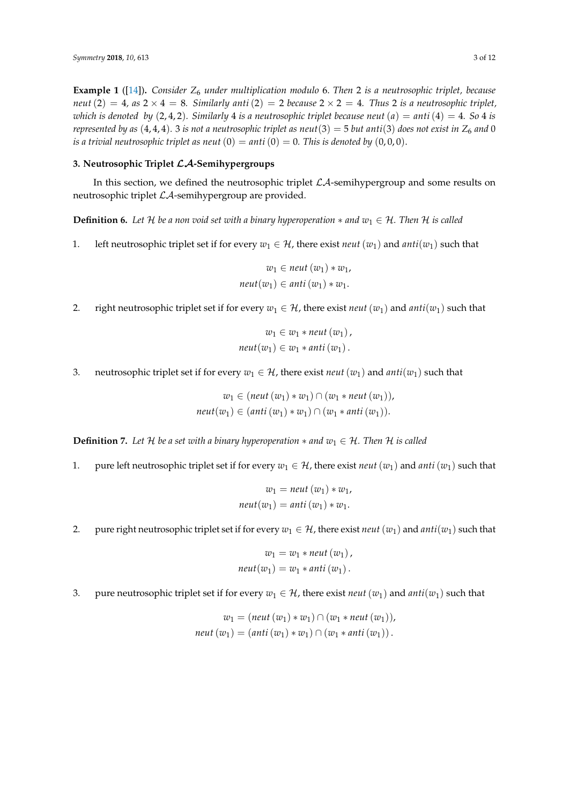**Example 1** ([\[14\]](#page-10-8))**.** *Consider Z*<sup>6</sup> *under multiplication modulo* 6. *Then* 2 *is a neutrosophic triplet, because neut* (2) = 4*, as*  $2 \times 4 = 8$ *. Similarly anti* (2) = 2 *because*  $2 \times 2 = 4$ *. Thus* 2 *is a neutrosophic triplet, which is denoted by*  $(2, 4, 2)$ *. Similarly* 4 *is a neutrosophic triplet because neut*  $(a) = \text{anti}(4) = 4$ *. So* 4 *is represented by as* (4, 4, 4). 3 *is not a neutrosophic triplet as neut*(3) = 5 *but anti*(3) *does not exist in*  $Z_6$  *and* 0 *is a trivial neutrosophic triplet as neut*  $(0) =$  *anti*  $(0) = 0$ *. This is denoted by*  $(0,0,0)$ *.* 

# **3. Neutrosophic Triplet** LA**-Semihypergroups**

In this section, we defined the neutrosophic triplet  $\mathcal{L}A$ -semihypergroup and some results on neutrosophic triplet LA-semihypergroup are provided.

<span id="page-2-0"></span>**Definition 6.** Let H be a non void set with a binary hyperoperation  $*$  and  $w_1 \in H$ . Then H is called

1. left neutrosophic triplet set if for every  $w_1 \in \mathcal{H}$ , there exist *neut*  $(w_1)$  and  $anti(w_1)$  such that

$$
w_1 \in \text{neut}(w_1) * w_1,
$$
  
\n
$$
\text{neut}(w_1) \in \text{anti}(w_1) * w_1.
$$

2. right neutrosophic triplet set if for every  $w_1 \in \mathcal{H}$ , there exist *neut*  $(w_1)$  and  $anti(w_1)$  such that

$$
w_1 \in w_1 * neut(w_1),
$$
  

$$
neut(w_1) \in w_1 * anti(w_1).
$$

3. neutrosophic triplet set if for every  $w_1 \in \mathcal{H}$ , there exist *neut*  $(w_1)$  and  $anti(w_1)$  such that

 $w_1$  ∈ (*neut* ( $w_1$ ) ∗  $w_1$ ) ∩ ( $w_1$  \* *neut* ( $w_1$ )), *neut*(*w*<sub>1</sub>) ∈ (*anti*(*w*<sub>1</sub>) ∗ *w*<sub>1</sub>) ∩ (*w*<sub>1</sub> ∗ *anti*(*w*<sub>1</sub>)).

**Definition 7.** Let H be a set with a binary hyperoperation  $*$  and  $w_1 \in H$ . Then H is called

1. pure left neutrosophic triplet set if for every  $w_1 \in \mathcal{H}$ , there exist *neut*  $(w_1)$  and *anti*  $(w_1)$  such that

$$
w_1 = \text{neut}(w_1) * w_1,
$$
  
\n
$$
\text{neut}(w_1) = \text{anti}(w_1) * w_1.
$$

2. pure right neutrosophic triplet set if for every  $w_1 \in \mathcal{H}$ , there exist *neut*  $(w_1)$  and  $anti(w_1)$  such that

$$
w_1 = w_1 * neut(w_1),
$$
  
\n
$$
neut(w_1) = w_1 * anti(w_1).
$$

3. pure neutrosophic triplet set if for every  $w_1 \in \mathcal{H}$ , there exist *neut*  $(w_1)$  and  $anti(w_1)$  such that

$$
w_1 = (neut (w_1) * w_1) \cap (w_1 * neut (w_1)),
$$
  

$$
neut (w_1) = (anti (w_1) * w_1) \cap (w_1 * anti (w_1)).
$$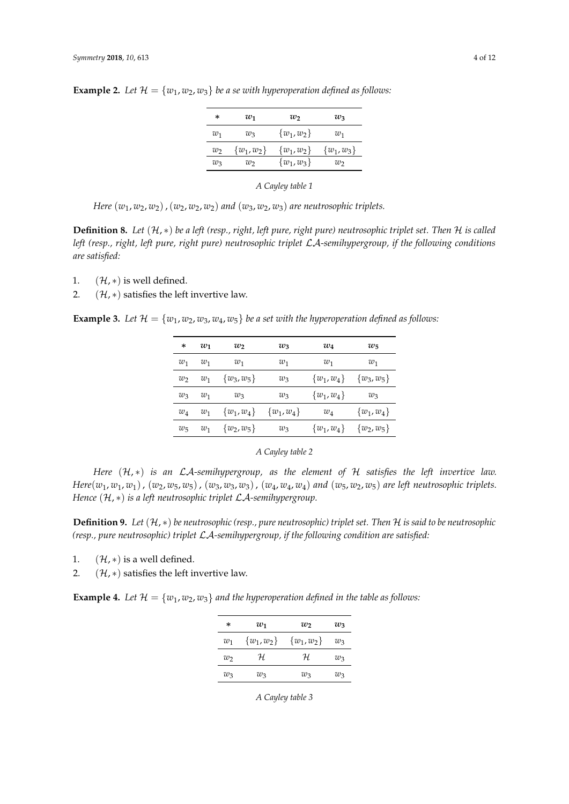| ∗     | $w_1$         | w              | $w_3$          |
|-------|---------------|----------------|----------------|
| $w_1$ | $w_3$         | $\{w_1, w_2\}$ | $w_1$          |
| W     | $\{w_1,w_2\}$ | $\{w_1,w_2\}$  | $\{w_1, w_3\}$ |
| $w_3$ | w             | $\{w_1,w_3\}$  | $w_2$          |

**Example 2.** Let  $\mathcal{H} = \{w_1, w_2, w_3\}$  be a se with hyperoperation defined as follows:

*A Cayley table 1*

*Here*  $(w_1, w_2, w_2)$ ,  $(w_2, w_2, w_2)$  *and*  $(w_3, w_2, w_3)$  *are neutrosophic triplets.* 

**Definition 8.** *Let* (H, ∗) *be a left (resp., right, left pure, right pure) neutrosophic triplet set. Then* H *is called left (resp., right, left pure, right pure) neutrosophic triplet* LA*-semihypergroup, if the following conditions are satisfied:*

- 1.  $(\mathcal{H}, *)$  is well defined.
- 2.  $({\mathcal{H}}, *)$  satisfies the left invertive law.

**Example 3.** Let  $\mathcal{H} = \{w_1, w_2, w_3, w_4, w_5\}$  be a set with the hyperoperation defined as follows:

| *       | $w_1$ | $w_2$          | $w_3$          | $w_4$          | $w_5$          |
|---------|-------|----------------|----------------|----------------|----------------|
| $w_1$   | $w_1$ | $w_1$          | $w_1$          | $w_1$          | $w_1$          |
| $w_2$   | $w_1$ | $\{w_3, w_5\}$ | $w_3$          | $\{w_1, w_4\}$ | $\{w_3, w_5\}$ |
| $w_3$   | $w_1$ | $w_3$          | $w_3$          | $\{w_1,w_4\}$  | $w_3$          |
| $w_4$   | $w_1$ | $\{w_1,w_4\}$  | $\{w_1, w_4\}$ | $w_4$          | $\{w_1, w_4\}$ |
| $w_{5}$ | $w_1$ | $\{w_2, w_5\}$ | $w_3$          | $\{w_1, w_4\}$ | $\{w_2, w_5\}$ |

*A Cayley table 2*

*Here* (H, ∗) *is an* LA*-semihypergroup, as the element of* H *satisfies the left invertive law.* Here( $w_1, w_1, w_1$ ), ( $w_2, w_5, w_5$ ), ( $w_3, w_3, w_3$ ), ( $w_4, w_4, w_4$ ) and ( $w_5, w_2, w_5$ ) are left neutrosophic triplets. *Hence* (H, ∗) *is a left neutrosophic triplet* LA*-semihypergroup.*

**Definition 9.** *Let* (H, ∗) *be neutrosophic (resp., pure neutrosophic) triplet set. Then* H *is said to be neutrosophic (resp., pure neutrosophic) triplet* LA*-semihypergroup, if the following condition are satisfied:*

1.  $(\mathcal{H}, *)$  is a well defined.

2.  $({\cal H}, *)$  satisfies the left invertive law.

<span id="page-3-0"></span>**Example 4.** Let  $\mathcal{H} = \{w_1, w_2, w_3\}$  and the hyperoperation defined in the table as follows:

| *     | $w_1$          | $w_2$          | $w_3$ |
|-------|----------------|----------------|-------|
| $w_1$ | $\{w_1, w_2\}$ | $\{w_1, w_2\}$ | wз    |
| W7    | H.             | H.             | wз    |
| $w_3$ | $w_3$          | $w_3$          | wз    |

*A Cayley table 3*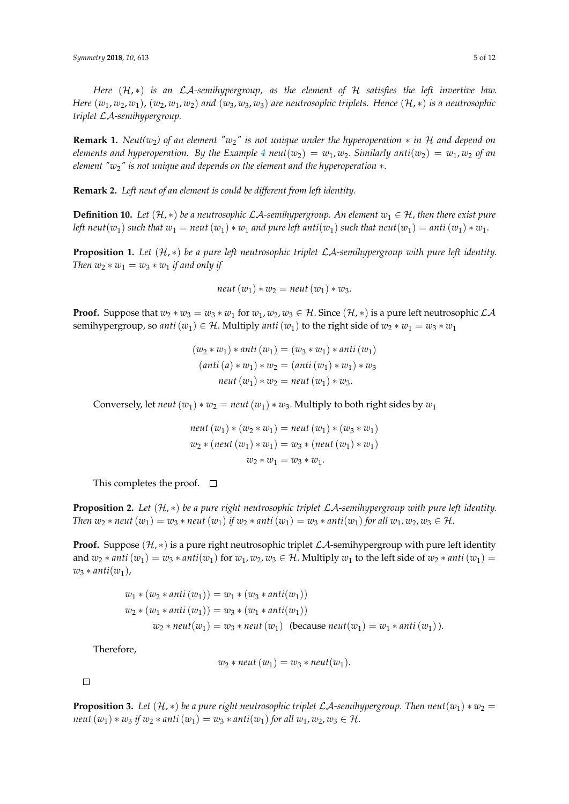*Here* (H, ∗) *is an* LA*-semihypergroup, as the element of* H *satisfies the left invertive law. Here*  $(w_1, w_2, w_1)$ ,  $(w_2, w_1, w_2)$  *and*  $(w_3, w_3, w_3)$  *are neutrosophic triplets. Hence*  $(\mathcal{H}, *)$  *is a neutrosophic triplet* LA*-semihypergroup.*

**Remark 1.** *Neut(w*2*) of an element "w*2*" is not unique under the hyperoperation* ∗ *in* H *and depend on elements and hyperoperation. By the Example* [4](#page-3-0) *neut*( $w_2$ ) =  $w_1$ ,  $w_2$ . *Similarly anti*( $w_2$ ) =  $w_1$ ,  $w_2$  *of an element "w*2*" is not unique and depends on the element and the hyperoperation* ∗*.*

**Remark 2.** *Left neut of an element is could be different from left identity.*

**Definition 10.** Let  $(H, *)$  be a neutrosophic LA-semihypergroup. An element  $w_1 \in H$ , then there exist pure *left neut*( $w_1$ ) *such that*  $w_1 =$  *neut* ( $w_1$ )  $* w_1$  *and pure left anti*( $w_1$ ) *such that neut*( $w_1$ ) = *anti*( $w_1$ )  $* w_1$ .

**Proposition 1.** *Let* (H, ∗) *be a pure left neutrosophic triplet* LA*-semihypergroup with pure left identity. Then*  $w_2 * w_1 = w_3 * w_1$  *if and only if* 

$$
neut(w_1)*w_2 = neut(w_1)*w_3.
$$

**Proof.** Suppose that  $w_2 * w_3 = w_3 * w_1$  for  $w_1, w_2, w_3 \in \mathcal{H}$ . Since  $(\mathcal{H}, *)$  is a pure left neutrosophic  $\mathcal{LA}$ semihypergroup, so *anti*  $(w_1) \in \mathcal{H}$ . Multiply *anti*  $(w_1)$  to the right side of  $w_2 * w_1 = w_3 * w_1$ 

$$
(w_2 * w_1) * anti (w_1) = (w_3 * w_1) * anti (w_1)
$$
  
\n
$$
(anti (a) * w_1) * w_2 = (anti (w_1) * w_1) * w_3
$$
  
\n
$$
neut (w_1) * w_2 = neut (w_1) * w_3.
$$

Conversely, let *neut*  $(w_1) * w_2 =$  *neut*  $(w_1) * w_3$ . Multiply to both right sides by  $w_1$ 

$$
neut (w1) * (w2 * w1) = neut (w1) * (w3 * w1)
$$
  

$$
w2 * (neut (w1) * w1) = w3 * (neut (w1) * w1)
$$
  

$$
w2 * w1 = w3 * w1.
$$

This completes the proof.  $\square$ 

**Proposition 2.** *Let* (H, ∗) *be a pure right neutrosophic triplet* LA*-semihypergroup with pure left identity. Then*  $w_2 *$  *neut*  $(w_1) = w_3 *$  *neut*  $(w_1)$  *if*  $w_2 *$  *anti*  $(w_1) = w_3 *$  *anti* $(w_1)$  *for all*  $w_1, w_2, w_3 \in \mathcal{H}$ .

**Proof.** Suppose  $(\mathcal{H}, *)$  is a pure right neutrosophic triplet  $\mathcal{LA}$ -semihypergroup with pure left identity and  $w_2 * anti(w_1) = w_3 * anti(w_1)$  for  $w_1, w_2, w_3 \in H$ . Multiply  $w_1$  to the left side of  $w_2 * anti(w_1) =$  $w_3 * anti(w_1)$ ,

$$
w_1 * (w_2 * anti(w_1)) = w_1 * (w_3 * anti(w_1))
$$
  
\n
$$
w_2 * (w_1 * anti(w_1)) = w_3 * (w_1 * anti(w_1))
$$
  
\n
$$
w_2 * neu1(w_1) = w_3 * neu1(w_1) \text{ (because } neu1(w_1) = w_1 * anti(w_1)).
$$

Therefore,

$$
w_2 * \textit{neut}(w_1) = w_3 * \textit{neut}(w_1)
$$

 $\Box$ 

**Proposition 3.** Let  $(H, *)$  be a pure right neutrosophic triplet LA-semihypergroup. Then  $neut(w_1) * w_2 =$ *neut*  $(w_1) * w_3$  *if*  $w_2 *$  *anti* $(w_1) = w_3 *$  *anti* $(w_1)$  *for all*  $w_1, w_2, w_3 \in \mathcal{H}$ .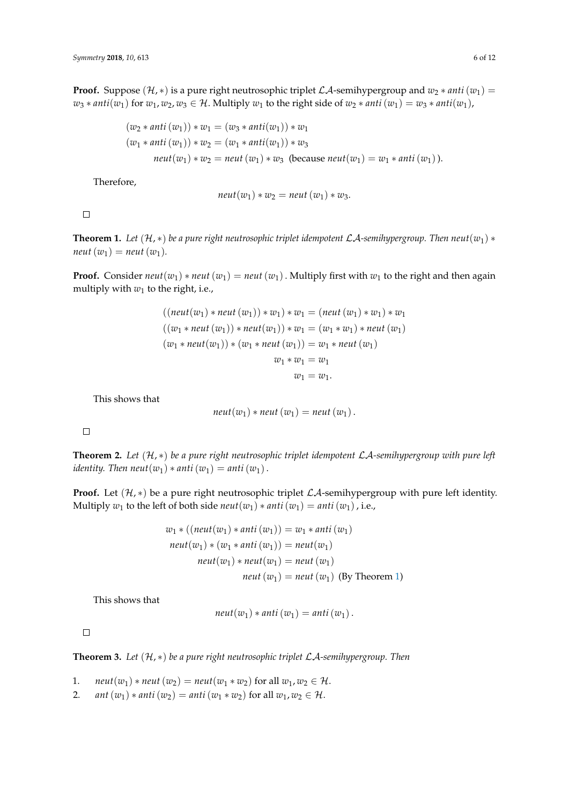**Proof.** Suppose  $(\mathcal{H}, *)$  is a pure right neutrosophic triplet  $\mathcal{LA}$ -semihypergroup and  $w_2 * anti(w_1) =$ *w*<sub>3</sub> ∗ *anti*(*w*<sub>1</sub>) for *w*<sub>1</sub>, *w*<sub>2</sub>, *w*<sub>3</sub> ∈ H. Multiply *w*<sub>1</sub> to the right side of *w*<sub>2</sub> ∗ *anti*(*w*<sub>1</sub>) = *w*<sub>3</sub> ∗ *anti*(*w*<sub>1</sub>),

$$
(w_2 * anti(w_1)) * w_1 = (w_3 * anti(w_1)) * w_1
$$
  
\n
$$
(w_1 * anti(w_1)) * w_2 = (w_1 * anti(w_1)) * w_3
$$
  
\n
$$
neut(w_1) * w_2 = neut(w_1) * w_3
$$
 (because  $neut(w_1) = w_1 * anti(w_1)$ ).

Therefore,

$$
neut(w_1)*w_2 = neut(w_1)*w_3.
$$

 $\Box$ 

<span id="page-5-0"></span>**Theorem 1.** Let  $(H, *)$  be a pure right neutrosophic triplet idempotent  $\mathcal{L}A$ -semihypergroup. Then neut $(w_1) *$  $neut(w_1) = neut(w_1)$ .

**Proof.** Consider  $neut(w_1) * neut(w_1) = neut(w_1)$ . Multiply first with  $w_1$  to the right and then again multiply with  $w_1$  to the right, i.e.,

$$
((neut(w_1) * neut(w_1)) * w_1) * w_1 = (neut(w_1) * w_1) * w_1
$$
  

$$
((w_1 * neut(w_1)) * neut(w_1)) * w_1 = (w_1 * w_1) * neut(w_1)
$$
  

$$
(w_1 * neut(w_1)) * (w_1 * neut(w_1)) = w_1 * neut(w_1)
$$
  

$$
w_1 * w_1 = w_1
$$
  

$$
w_1 = w_1.
$$

This shows that

$$
neut(w_1)*neut(w_1)=neut(w_1).
$$

 $\Box$ 

**Theorem 2.** *Let* (H, ∗) *be a pure right neutrosophic triplet idempotent* LA*-semihypergroup with pure left identity. Then neut*( $w_1$ )  $*$  *anti*( $w_1$ ) = *anti*( $w_1$ ).

**Proof.** Let  $(\mathcal{H}, *)$  be a pure right neutrosophic triplet  $\mathcal{LA}$ -semihypergroup with pure left identity. Multiply  $w_1$  to the left of both side  $neut(w_1) * anti(w_1) = anti(w_1)$ , i.e.,

$$
w_1 * ((neut(w_1) * anti(w_1)) = w_1 * anti(w_1)
$$
  
\n
$$
neut(w_1) * (w_1 * anti(w_1)) = neutr(w_1)
$$
  
\n
$$
neut(w_1) * neutr(w_1) = neutr(w_1)
$$
  
\n
$$
neut(w_1) = neutr(w_1) \text{ (By Theorem 1)}
$$

This shows that

$$
neut(w_1)*anti(w_1)=anti(w_1).
$$

 $\Box$ 

**Theorem 3.** *Let* (H, ∗) *be a pure right neutrosophic triplet* LA*-semihypergroup. Then*

1. *neut*(*w*<sub>1</sub>) \* *neut*(*w*<sub>2</sub>) = *neut*(*w*<sub>1</sub> \* *w*<sub>2</sub>) for all *w*<sub>1</sub>, *w*<sub>2</sub>  $\in \mathcal{H}$ .

2. *ant*  $(w_1) * anti(w_2) = anti(w_1 * w_2)$  for all  $w_1, w_2 \in H$ .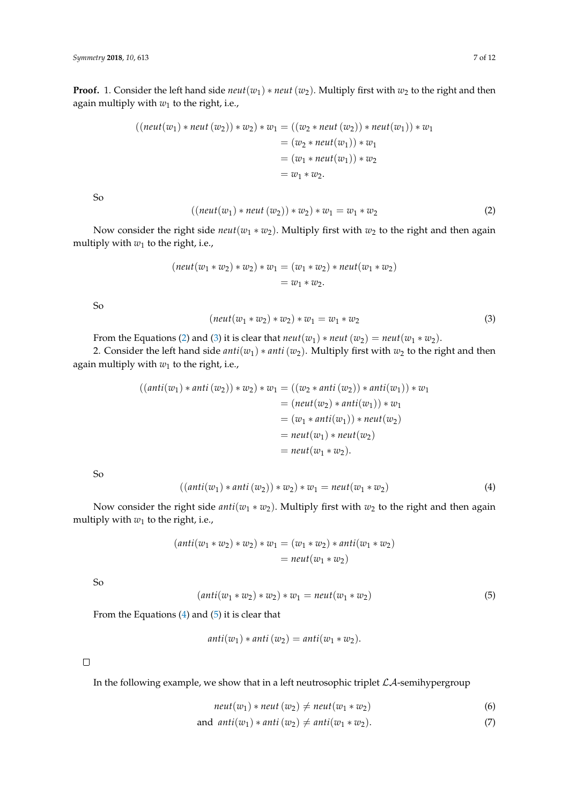**Proof.** 1. Consider the left hand side  $neut(w_1) * neut(w_2)$ . Multiply first with  $w_2$  to the right and then again multiply with *w*<sup>1</sup> to the right, i.e.,

$$
((neut(w_1) * neut(w_2)) * w_2) * w_1 = ((w_2 * neut(w_2)) * neut(w_1)) * w_1
$$
  
=  $(w_2 * neut(w_1)) * w_1$   
=  $(w_1 * neut(w_1)) * w_2$   
=  $w_1 * w_2$ .

So

<span id="page-6-0"></span>
$$
((neut(w_1) * neut(w_2)) * w_2) * w_1 = w_1 * w_2
$$
\n(2)

Now consider the right side  $neut(w_1 * w_2)$ . Multiply first with  $w_2$  to the right and then again multiply with  $w_1$  to the right, i.e.,

$$
(neut(w_1 * w_2) * w_2) * w_1 = (w_1 * w_2) * neut(w_1 * w_2)
$$
  
=  $w_1 * w_2$ .

So

<span id="page-6-1"></span> $(new(w_1 * w_2) * w_1) * w_1 = w_1 * w_2$  (3)

From the Equations [\(2\)](#page-6-0) and [\(3\)](#page-6-1) it is clear that  $neut(w_1) * neut(w_2) = neut(w_1 * w_2)$ .

2. Consider the left hand side *anti*( $w_1$ ) \* *anti*( $w_2$ ). Multiply first with  $w_2$  to the right and then again multiply with *w*<sup>1</sup> to the right, i.e.,

$$
((anti(w1) * anti(w2)) * w2) * w1 = ((w2 * anti(w2)) * anti(w1)) * w1
$$
  
= (neut(w<sub>2</sub>) \* anti(w<sub>1</sub>)) \* w<sub>1</sub>  
= (w<sub>1</sub> \* anti(w<sub>1</sub>)) \* neutr(w<sub>2</sub>)  
= neutr(w<sub>1</sub>) \* neutr(w<sub>2</sub>)  
= neutr(w<sub>1</sub> \* w<sub>2</sub>).

So

<span id="page-6-2"></span>
$$
((anti(w1) * anti(w2)) * w2) * w1 = neutr(w1 * w2)
$$
\n(4)

Now consider the right side *anti*( $w_1 * w_2$ ). Multiply first with  $w_2$  to the right and then again multiply with  $w_1$  to the right, i.e.,

$$
(anti(w_1 * w_2) * w_2) * w_1 = (w_1 * w_2) * anti(w_1 * w_2)
$$
  
=  $neut(w_1 * w_2)$ 

So

<span id="page-6-3"></span>
$$
(anti(w_1 * w_2) * w_2) * w_1 = neutr(w_1 * w_2)
$$
\n(5)

From the Equations  $(4)$  and  $(5)$  it is clear that

$$
anti(w_1) * anti(w_2) = anti(w_1 * w_2).
$$

 $\Box$ 

In the following example, we show that in a left neutrosophic triplet  $\mathcal{LA}$ -semihypergroup

$$
neut(w_1) * neut(w_2) \neq neut(w_1 * w_2)
$$
\n
$$
(6)
$$

and 
$$
anti(w_1) * anti(w_2) \neq anti(w_1 * w_2)
$$
. (7)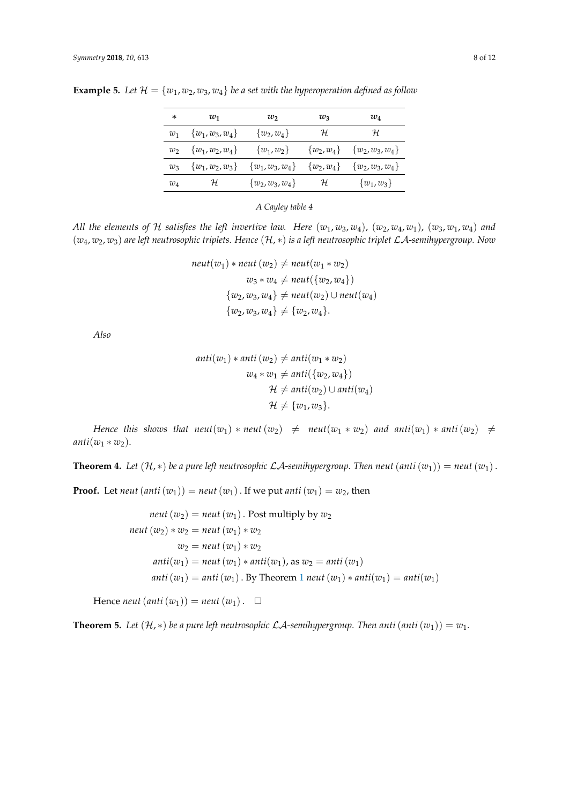| *     | $w_1$               | $w_2$               | $w_3$      | $w_4$                              |
|-------|---------------------|---------------------|------------|------------------------------------|
| $w_1$ | $\{w_1, w_3, w_4\}$ | $\{w_2,w_4\}$       | H          | H                                  |
| $w_2$ | $\{w_1, w_2, w_4\}$ | $\{w_1,w_2\}$       |            | $\{w_2, w_4\}$ $\{w_2, w_3, w_4\}$ |
| $w_3$ | $\{w_1, w_2, w_3\}$ | $\{w_1, w_3, w_4\}$ |            | $\{w_2, w_4\}$ $\{w_2, w_3, w_4\}$ |
| $w_4$ | Н                   | $\{w_2, w_3, w_4\}$ | ${\cal H}$ | $\{w_1,w_3\}$                      |

**Example 5.** Let  $\mathcal{H} = \{w_1, w_2, w_3, w_4\}$  be a set with the hyperoperation defined as follow

*A Cayley table 4*

*All the elements of* H *satisfies the left invertive law. Here*  $(w_1, w_3, w_4)$ ,  $(w_2, w_4, w_1)$ ,  $(w_3, w_1, w_4)$  and (*w*4, *w*2, *w*3) *are left neutrosophic triplets. Hence* (H, ∗) *is a left neutrosophic triplet* LA*-semihypergroup. Now*

$$
neut(w_1) * neut(w_2) \neq neut(w_1 * w_2)
$$
  

$$
w_3 * w_4 \neq neut({w_2, w_4})
$$
  

$$
{w_2, w_3, w_4} \neq neut(w_2) \cup neut(w_4)
$$
  

$$
{w_2, w_3, w_4} \neq {w_2, w_4}.
$$

*Also*

$$
anti(w_1) * anti(w_2) \neq anti(w_1 * w_2)
$$
  

$$
w_4 * w_1 \neq anti({w_2, w_4})
$$
  

$$
\mathcal{H} \neq anti(w_2) \cup anti(w_4)
$$
  

$$
\mathcal{H} \neq {w_1, w_3}.
$$

*Hence this shows that neut*( $w_1$ ) \* *neut*( $w_2$ )  $\neq$  *neut*( $w_1$  \*  $w_2$ ) *and anti*( $w_1$ ) \* *anti*( $w_2$ )  $\neq$  $anti(w_1 * w_2)$ .

<span id="page-7-0"></span>**Theorem 4.** Let  $(\mathcal{H}, *)$  be a pure left neutrosophic  $\mathcal{L}\mathcal{A}$ -semihypergroup. Then neut  $(anti(w_1)) = neut(w_1)$ .

**Proof.** Let *neut*  $(anti(w_1)) = neut(w_1)$ . If we put *anti* $(w_1) = w_2$ , then

$$
neut (w2) = neut (w1). Post multiply by w2
$$
  
\n
$$
neut (w2) * w2 = neut (w1) * w2
$$
  
\n
$$
w2 = neut (w1) * w2
$$
  
\n
$$
anti(w1) = neut (w1) * anti(w1), as w2 = anti (w1)
$$
  
\n
$$
anti (w1) = anti (w1). By Theorem 1 neut (w1) * anti(w1) = anti(w1)
$$

Hence *neut*  $(anti(w_1)) = neut(w_1)$ .  $\Box$ 

**Theorem 5.** Let  $(\mathcal{H}, *)$  be a pure left neutrosophic  $\mathcal{L}\mathcal{A}$ -semihypergroup. Then anti  $(anti(w_1)) = w_1$ .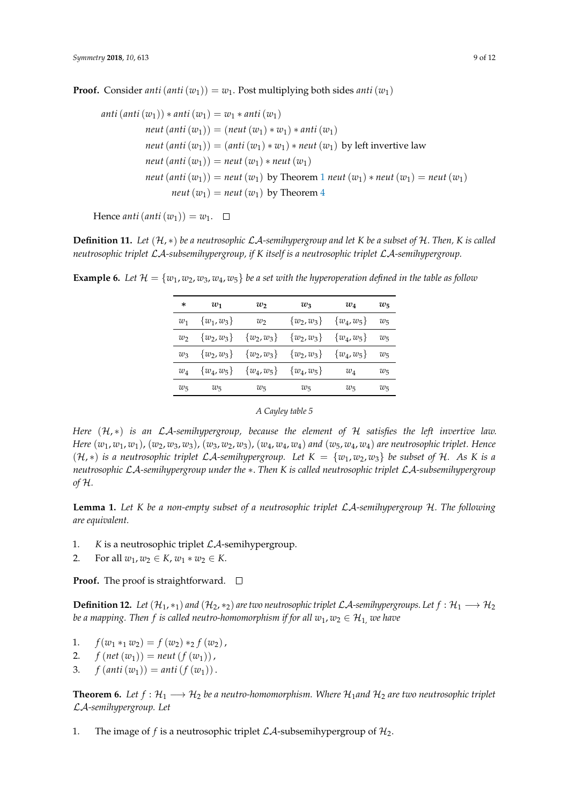**Proof.** Consider *anti*(*anti*(*w*<sub>1</sub>)) = *w*<sub>1</sub>. Post multiplying both sides *anti*(*w*<sub>1</sub>)

$$
anti(anti(w1)) * anti(w1) = w1 * anti(w1)
$$
  
\n
$$
neut(anti(w1)) = (neut(w1) * w1) * anti(w1)
$$
  
\n
$$
neut(anti(w1)) = (anti(w1) * w1) * neut(w1) by left invertive law
$$
  
\n
$$
neut(anti(w1)) = neut(w1) * neut(w1)
$$
  
\n
$$
neut(anti(w1)) = neut(w1) by Theorem 1 neut (w1) * neut(w1) = neut(w1)
$$
  
\n
$$
neut(w1) = neut(w1) by Theorem 4
$$

Hence *anti*  $(\text{anti}(w_1)) = w_1$ .  $\Box$ 

**Definition 11.** Let  $(H, *)$  be a neutrosophic  $\mathcal{L}A$ -semihypergroup and let K be a subset of H. Then, K is called *neutrosophic triplet* LA*-subsemihypergroup, if K itself is a neutrosophic triplet* LA*-semihypergroup.*

**Example 6.** Let  $\mathcal{H} = \{w_1, w_2, w_3, w_4, w_5\}$  be a set with the hyperoperation defined in the table as follow

| *       | $w_1$          | $w_2$          | $w_3$          | $w_4$         | $w_{5}$ |
|---------|----------------|----------------|----------------|---------------|---------|
| $w_1$   | $\{w_1,w_3\}$  | $w_2$          | $\{w_2, w_3\}$ | $\{w_4,w_5\}$ | $w_5$   |
| $w_2$   | $\{w_2, w_3\}$ | $\{w_2,w_3\}$  | $\{w_2, w_3\}$ | $\{w_4,w_5\}$ | $w_5$   |
| $w_3$   | $\{w_2, w_3\}$ | $\{w_2, w_3\}$ | $\{w_2,w_3\}$  | $\{w_4,w_5\}$ | $w_5$   |
| $w_4$   | $\{w_4, w_5\}$ | $\{w_4,w_5\}$  | $\{w_4, w_5\}$ | $w_4$         | $w_5$   |
| $w_{5}$ | $w_5$          | $w_5$          | $w_5$          | $w_5$         | $w_5$   |

#### *A Cayley table 5*

*Here* (H, ∗) *is an* LA*-semihypergroup, because the element of* H *satisfies the left invertive law.* Here  $(w_1, w_1, w_1)$ ,  $(w_2, w_3, w_3)$ ,  $(w_3, w_2, w_3)$ ,  $(w_4, w_4, w_4)$  and  $(w_5, w_4, w_4)$  are neutrosophic triplet. Hence  $(H, *)$  *is a neutrosophic triplet LA-semihypergroup. Let*  $K = \{w_1, w_2, w_3\}$  *be subset of* H. As K *is a neutrosophic* LA*-semihypergroup under the* ∗. *Then K is called neutrosophic triplet* LA*-subsemihypergroup of* H*.*

**Lemma 1.** *Let K be a non-empty subset of a neutrosophic triplet* LA*-semihypergroup* H*. The following are equivalent.*

- 1. *K* is a neutrosophic triplet LA-semihypergroup.
- 2. For all  $w_1, w_2 \in K$ ,  $w_1 * w_2 \in K$ .

# **Proof.** The proof is straightforward.  $\Box$

**Definition 12.** *Let*  $(\mathcal{H}_1, *_1)$  *and*  $(\mathcal{H}_2, *_2)$  *are two neutrosophic triplet LA*-semihypergroups. Let  $f : \mathcal{H}_1 \longrightarrow \mathcal{H}_2$ *be a mapping. Then f is called neutro-homomorphism if for all*  $w_1$ ,  $w_2 \in \mathcal{H}_1$ , *we have* 

- 1.  $f(w_1 *_1 w_2) = f(w_2) *_2 f(w_2)$ ,
- 2. *f*  $(\text{net}(w_1)) = \text{neut}(f(w_1))$ ,
- 3. *f*  $(\text{anti}(w_1)) = \text{anti}(f(w_1))$ .

**Theorem 6.** Let  $f : \mathcal{H}_1 \longrightarrow \mathcal{H}_2$  be a neutro-homomorphism. Where  $\mathcal{H}_1$  and  $\mathcal{H}_2$  are two neutrosophic triplet LA*-semihypergroup. Let*

1. The image of *f* is a neutrosophic triplet  $\mathcal{LA}$ -subsemihypergroup of  $\mathcal{H}_2$ .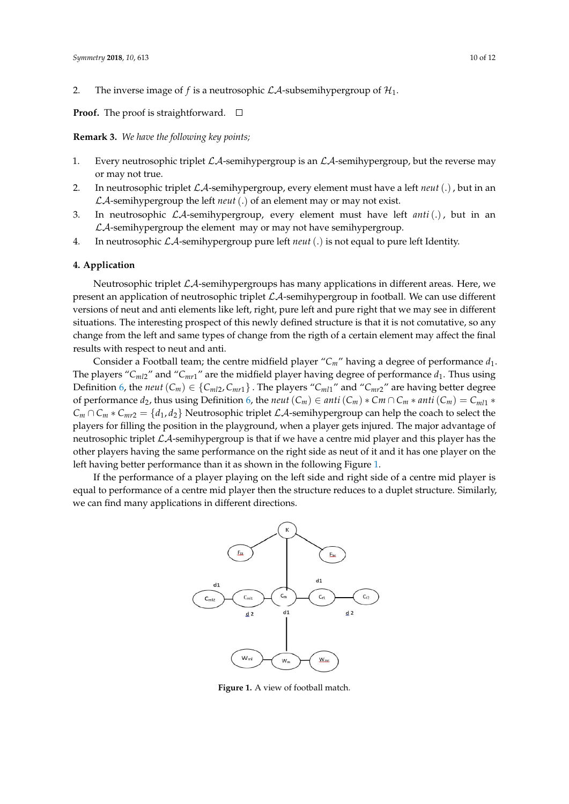2. The inverse image of *f* is a neutrosophic  $\mathcal{L}A$ -subsemihypergroup of  $\mathcal{H}_1$ .

**Proof.** The proof is straightforward.  $\Box$ 

**Remark 3.** *We have the following key points;*

- 1. Every neutrosophic triplet  $\mathcal{LA}$ -semihypergroup is an  $\mathcal{LA}$ -semihypergroup, but the reverse may or may not true.
- 2. In neutrosophic triplet LA-semihypergroup, every element must have a left *neut*(.), but in an LA-semihypergroup the left *neut*(.) of an element may or may not exist.
- 3. In neutrosophic LA-semihypergroup, every element must have left *anti*(.), but in an  $\mathcal{L}$ A-semihypergroup the element may or may not have semihypergroup.
- 4. In neutrosophic LA-semihypergroup pure left *neut*(.) is not equal to pure left Identity.

## **4. Application**

Neutrosophic triplet  $\mathcal{L}A$ -semihypergroups has many applications in different areas. Here, we present an application of neutrosophic triplet  $\mathcal{LA}$ -semihypergroup in football. We can use different versions of neut and anti elements like left, right, pure left and pure right that we may see in different situations. The interesting prospect of this newly defined structure is that it is not comutative, so any change from the left and same types of change from the rigth of a certain element may affect the final results with respect to neut and anti.

Consider a Football team; the centre midfield player " $C_m$ " having a degree of performance  $d_1$ . The players " $C_{ml2}$ " and " $C_{mr1}$ " are the midfield player having degree of performance  $d_1$ . Thus using Definition [6,](#page-2-0) the *neut*  $(C_m) \in \{C_{ml2}, C_{m1}\}\.$  The players " $C_{ml1}$ " and " $C_{mr2}$ " are having better degree of performance  $d_2$ , thus using Definition [6,](#page-2-0) the *neut*  $(C_m) \in anti(C_m) * C_m \cap C_m * anti(C_m) = C_{ml1} *$  $C_m \cap C_m * C_{mr2} = \{d_1, d_2\}$  Neutrosophic triplet  $\mathcal{LA}$ -semihypergroup can help the coach to select the players for filling the position in the playground, when a player gets injured. The major advantage of neutrosophic triplet  $\mathcal{L}A$ -semihypergroup is that if we have a centre mid player and this player has the other players having the same performance on the right side as neut of it and it has one player on the left having better performance than it as shown in the following Figure [1.](#page-9-0)

<span id="page-9-0"></span>If the performance of a player playing on the left side and right side of a centre mid player is equal to performance of a centre mid player then the structure reduces to a duplet structure. Similarly, we can find many applications in different directions.



**Figure 1.** A view of football match.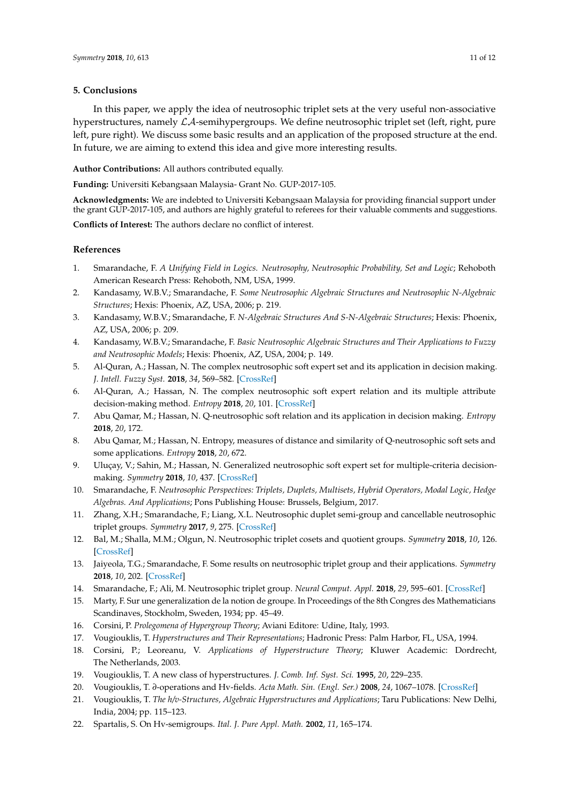## **5. Conclusions**

In this paper, we apply the idea of neutrosophic triplet sets at the very useful non-associative hyperstructures, namely  $\mathcal{L}A$ -semihypergroups. We define neutrosophic triplet set (left, right, pure left, pure right). We discuss some basic results and an application of the proposed structure at the end. In future, we are aiming to extend this idea and give more interesting results.

**Author Contributions:** All authors contributed equally.

**Funding:** Universiti Kebangsaan Malaysia- Grant No. GUP-2017-105.

**Acknowledgments:** We are indebted to Universiti Kebangsaan Malaysia for providing financial support under the grant GUP-2017-105, and authors are highly grateful to referees for their valuable comments and suggestions.

**Conflicts of Interest:** The authors declare no conflict of interest.

## **References**

- <span id="page-10-0"></span>1. Smarandache, F. *A Unifying Field in Logics. Neutrosophy, Neutrosophic Probability, Set and Logic*; Rehoboth American Research Press: Rehoboth, NM, USA, 1999.
- <span id="page-10-1"></span>2. Kandasamy, W.B.V.; Smarandache, F. *Some Neutrosophic Algebraic Structures and Neutrosophic N-Algebraic Structures*; Hexis: Phoenix, AZ, USA, 2006; p. 219.
- <span id="page-10-2"></span>3. Kandasamy, W.B.V.; Smarandache, F. *N-Algebraic Structures And S-N-Algebraic Structures*; Hexis: Phoenix, AZ, USA, 2006; p. 209.
- <span id="page-10-3"></span>4. Kandasamy, W.B.V.; Smarandache, F. *Basic Neutrosophic Algebraic Structures and Their Applications to Fuzzy and Neutrosophic Models*; Hexis: Phoenix, AZ, USA, 2004; p. 149.
- <span id="page-10-4"></span>5. Al-Quran, A.; Hassan, N. The complex neutrosophic soft expert set and its application in decision making. *J. Intell. Fuzzy Syst.* **2018**, *34*, 569–582. [\[CrossRef\]](http://dx.doi.org/10.3233/JIFS-17806)
- 6. Al-Quran, A.; Hassan, N. The complex neutrosophic soft expert relation and its multiple attribute decision-making method. *Entropy* **2018**, *20*, 101. [\[CrossRef\]](http://dx.doi.org/10.3390/e20020101)
- 7. Abu Qamar, M.; Hassan, N. Q-neutrosophic soft relation and its application in decision making. *Entropy* **2018**, *20*, 172.
- 8. Abu Qamar, M.; Hassan, N. Entropy, measures of distance and similarity of Q-neutrosophic soft sets and some applications. *Entropy* **2018**, *20*, 672.
- <span id="page-10-5"></span>9. Uluçay, V.; Sahin, M.; Hassan, N. Generalized neutrosophic soft expert set for multiple-criteria decisionmaking. *Symmetry* **2018**, *10*, 437. [\[CrossRef\]](http://dx.doi.org/10.3390/sym10100437)
- <span id="page-10-6"></span>10. Smarandache, F. *Neutrosophic Perspectives: Triplets, Duplets, Multisets, Hybrid Operators, Modal Logic, Hedge Algebras. And Applications*; Pons Publishing House: Brussels, Belgium, 2017.
- 11. Zhang, X.H.; Smarandache, F.; Liang, X.L. Neutrosophic duplet semi-group and cancellable neutrosophic triplet groups. *Symmetry* **2017**, *9*, 275. [\[CrossRef\]](http://dx.doi.org/10.3390/sym9110275)
- 12. Bal, M.; Shalla, M.M.; Olgun, N. Neutrosophic triplet cosets and quotient groups. *Symmetry* **2018**, *10*, 126. [\[CrossRef\]](http://dx.doi.org/10.3390/sym10040126)
- <span id="page-10-7"></span>13. Jaiyeola, T.G.; Smarandache, F. Some results on neutrosophic triplet group and their applications. *Symmetry* **2018**, *10*, 202. [\[CrossRef\]](http://dx.doi.org/10.3390/sym10060202)
- <span id="page-10-8"></span>14. Smarandache, F.; Ali, M. Neutrosophic triplet group. *Neural Comput. Appl.* **2018**, *29*, 595–601. [\[CrossRef\]](http://dx.doi.org/10.1007/s00521-016-2535-x)
- <span id="page-10-9"></span>15. Marty, F. Sur une generalization de la notion de groupe. In Proceedings of the 8th Congres des Mathematicians Scandinaves, Stockholm, Sweden, 1934; pp. 45–49.
- <span id="page-10-10"></span>16. Corsini, P. *Prolegomena of Hypergroup Theory*; Aviani Editore: Udine, Italy, 1993.
- 17. Vougiouklis, T. *Hyperstructures and Their Representations*; Hadronic Press: Palm Harbor, FL, USA, 1994.
- <span id="page-10-11"></span>18. Corsini, P.; Leoreanu, V. *Applications of Hyperstructure Theory*; Kluwer Academic: Dordrecht, The Netherlands, 2003.
- <span id="page-10-12"></span>19. Vougiouklis, T. A new class of hyperstructures. *J. Comb. Inf. Syst. Sci.* **1995**, *20*, 229–235.
- <span id="page-10-13"></span>20. Vougiouklis, T. *∂*-operations and Hv-fields. *Acta Math. Sin. (Engl. Ser.)* **2008**, *24*, 1067–1078. [\[CrossRef\]](http://dx.doi.org/10.1007/s10114-007-6481-5)
- 21. Vougiouklis, T. *The h/v-Structures, Algebraic Hyperstructures and Applications*; Taru Publications: New Delhi, India, 2004; pp. 115–123.
- 22. Spartalis, S. On Hv-semigroups. *Ital. J. Pure Appl. Math.* **2002**, *11*, 165–174.